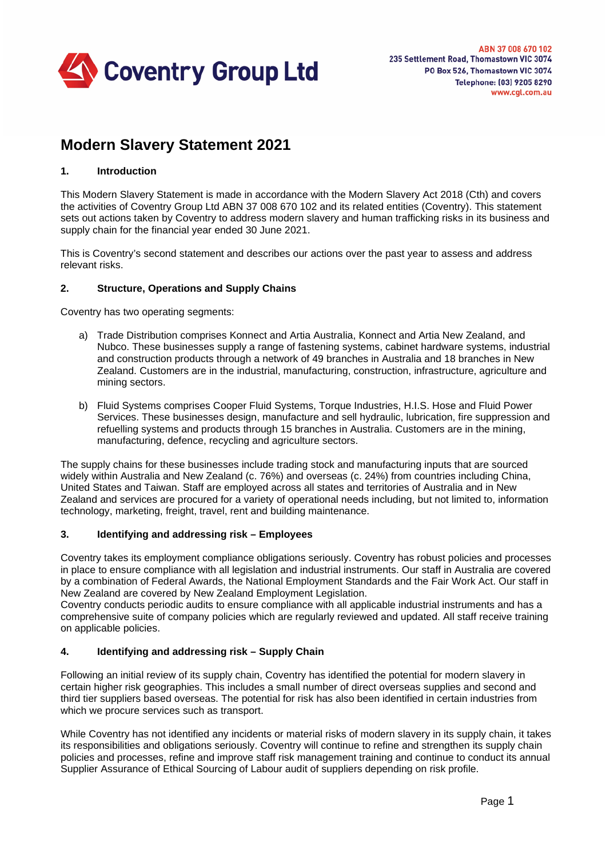

# **Modern Slavery Statement 2021**

#### **1. Introduction**

This Modern Slavery Statement is made in accordance with the Modern Slavery Act 2018 (Cth) and covers the activities of Coventry Group Ltd ABN 37 008 670 102 and its related entities (Coventry). This statement sets out actions taken by Coventry to address modern slavery and human trafficking risks in its business and supply chain for the financial year ended 30 June 2021.

This is Coventry's second statement and describes our actions over the past year to assess and address relevant risks.

#### **2. Structure, Operations and Supply Chains**

Coventry has two operating segments:

- a) Trade Distribution comprises Konnect and Artia Australia, Konnect and Artia New Zealand, and Nubco. These businesses supply a range of fastening systems, cabinet hardware systems, industrial and construction products through a network of 49 branches in Australia and 18 branches in New Zealand. Customers are in the industrial, manufacturing, construction, infrastructure, agriculture and mining sectors.
- b) Fluid Systems comprises Cooper Fluid Systems, Torque Industries, H.I.S. Hose and Fluid Power Services. These businesses design, manufacture and sell hydraulic, lubrication, fire suppression and refuelling systems and products through 15 branches in Australia. Customers are in the mining, manufacturing, defence, recycling and agriculture sectors.

The supply chains for these businesses include trading stock and manufacturing inputs that are sourced widely within Australia and New Zealand (c. 76%) and overseas (c. 24%) from countries including China, United States and Taiwan. Staff are employed across all states and territories of Australia and in New Zealand and services are procured for a variety of operational needs including, but not limited to, information technology, marketing, freight, travel, rent and building maintenance.

## **3. Identifying and addressing risk – Employees**

Coventry takes its employment compliance obligations seriously. Coventry has robust policies and processes in place to ensure compliance with all legislation and industrial instruments. Our staff in Australia are covered by a combination of Federal Awards, the National Employment Standards and the Fair Work Act. Our staff in New Zealand are covered by New Zealand Employment Legislation.

Coventry conducts periodic audits to ensure compliance with all applicable industrial instruments and has a comprehensive suite of company policies which are regularly reviewed and updated. All staff receive training on applicable policies.

#### **4. Identifying and addressing risk – Supply Chain**

Following an initial review of its supply chain, Coventry has identified the potential for modern slavery in certain higher risk geographies. This includes a small number of direct overseas supplies and second and third tier suppliers based overseas. The potential for risk has also been identified in certain industries from which we procure services such as transport.

While Coventry has not identified any incidents or material risks of modern slavery in its supply chain, it takes its responsibilities and obligations seriously. Coventry will continue to refine and strengthen its supply chain policies and processes, refine and improve staff risk management training and continue to conduct its annual Supplier Assurance of Ethical Sourcing of Labour audit of suppliers depending on risk profile.